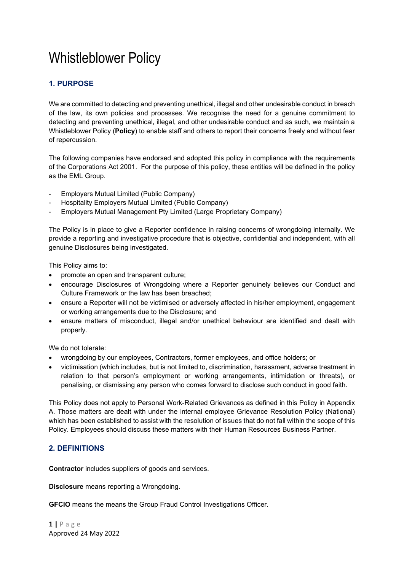# Whistleblower Policy

# **1. PURPOSE**

We are committed to detecting and preventing unethical, illegal and other undesirable conduct in breach of the law, its own policies and processes. We recognise the need for a genuine commitment to detecting and preventing unethical, illegal, and other undesirable conduct and as such, we maintain a Whistleblower Policy (**Policy**) to enable staff and others to report their concerns freely and without fear of repercussion.

The following companies have endorsed and adopted this policy in compliance with the requirements of the Corporations Act 2001. For the purpose of this policy, these entities will be defined in the policy as the EML Group.

- Employers Mutual Limited (Public Company)
- Hospitality Employers Mutual Limited (Public Company)
- Employers Mutual Management Pty Limited (Large Proprietary Company)

The Policy is in place to give a Reporter confidence in raising concerns of wrongdoing internally. We provide a reporting and investigative procedure that is objective, confidential and independent, with all genuine Disclosures being investigated.

This Policy aims to:

- promote an open and transparent culture;
- encourage Disclosures of Wrongdoing where a Reporter genuinely believes our Conduct and Culture Framework or the law has been breached;
- ensure a Reporter will not be victimised or adversely affected in his/her employment, engagement or working arrangements due to the Disclosure; and
- ensure matters of misconduct, illegal and/or unethical behaviour are identified and dealt with properly.

We do not tolerate:

- wrongdoing by our employees, Contractors, former employees, and office holders; or
- victimisation (which includes, but is not limited to, discrimination, harassment, adverse treatment in relation to that person's employment or working arrangements, intimidation or threats), or penalising, or dismissing any person who comes forward to disclose such conduct in good faith.

This Policy does not apply to Personal Work-Related Grievances as defined in this Policy in Appendix A. Those matters are dealt with under the internal employee Grievance Resolution Policy (National) which has been established to assist with the resolution of issues that do not fall within the scope of this Policy. Employees should discuss these matters with their Human Resources Business Partner.

# **2. DEFINITIONS**

**Contractor** includes suppliers of goods and services.

**Disclosure** means reporting a Wrongdoing.

**GFCIO** means the means the Group Fraud Control Investigations Officer.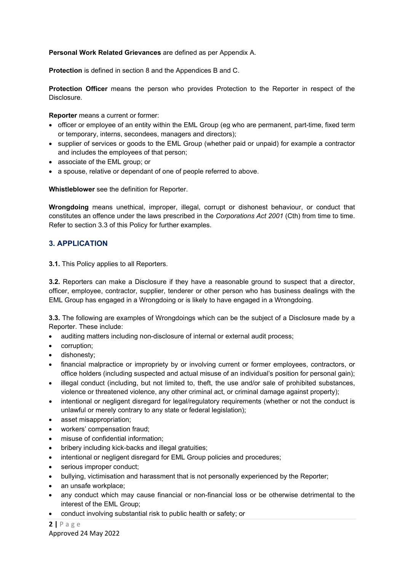#### **Personal Work Related Grievances** are defined as per Appendix A.

**Protection** is defined in section 8 and the Appendices B and C.

**Protection Officer** means the person who provides Protection to the Reporter in respect of the Disclosure.

**Reporter** means a current or former:

- officer or employee of an entity within the EML Group (eg who are permanent, part-time, fixed term or temporary, interns, secondees, managers and directors);
- supplier of services or goods to the EML Group (whether paid or unpaid) for example a contractor and includes the employees of that person;
- associate of the EML group; or
- a spouse, relative or dependant of one of people referred to above.

**Whistleblower** see the definition for Reporter.

**Wrongdoing** means unethical, improper, illegal, corrupt or dishonest behaviour, or conduct that constitutes an offence under the laws prescribed in the *Corporations Act 2001* (Cth) from time to time. Refer to section 3.3 of this Policy for further examples.

## **3. APPLICATION**

**3.1.** This Policy applies to all Reporters.

**3.2.** Reporters can make a Disclosure if they have a reasonable ground to suspect that a director, officer, employee, contractor, supplier, tenderer or other person who has business dealings with the EML Group has engaged in a Wrongdoing or is likely to have engaged in a Wrongdoing.

**3.3.** The following are examples of Wrongdoings which can be the subject of a Disclosure made by a Reporter. These include:

- auditing matters including non-disclosure of internal or external audit process;
- corruption:
- dishonesty;
- financial malpractice or impropriety by or involving current or former employees, contractors, or office holders (including suspected and actual misuse of an individual's position for personal gain);
- illegal conduct (including, but not limited to, theft, the use and/or sale of prohibited substances, violence or threatened violence, any other criminal act, or criminal damage against property);
- intentional or negligent disregard for legal/regulatory requirements (whether or not the conduct is unlawful or merely contrary to any state or federal legislation);
- asset misappropriation;
- workers' compensation fraud;
- misuse of confidential information;
- bribery including kick-backs and illegal gratuities;
- intentional or negligent disregard for EML Group policies and procedures;
- serious improper conduct;
- bullying, victimisation and harassment that is not personally experienced by the Reporter;
- an unsafe workplace;
- any conduct which may cause financial or non-financial loss or be otherwise detrimental to the interest of the EML Group;
- conduct involving substantial risk to public health or safety; or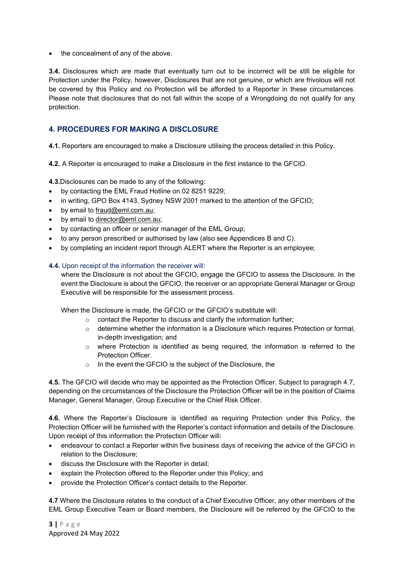• the concealment of any of the above.

**3.4.** Disclosures which are made that eventually turn out to be incorrect will be still be eligible for Protection under the Policy, however, Disclosures that are not genuine, or which are frivolous will not be covered by this Policy and no Protection will be afforded to a Reporter in these circumstances. Please note that disclosures that do not fall within the scope of a Wrongdoing do not qualify for any protection.

## **4. PROCEDURES FOR MAKING A DISCLOSURE**

**4.1.** Reporters are encouraged to make a Disclosure utilising the process detailed in this Policy.

**4.2.** A Reporter is encouraged to make a Disclosure in the first instance to the GFCIO.

**4.3.**Disclosures can be made to any of the following:

- by contacting the EML Fraud Hotline on 02 8251 9229;
- in writing, GPO Box 4143, Sydney NSW 2001 marked to the attention of the GFCIO;
- by email to [fraud@eml.com.au;](mailto:fraud@eml.com.au)
- by email to director@eml.com.au:
- by contacting an officer or senior manager of the EML Group;
- to any person prescribed or authorised by law (also see Appendices B and C).
- by completing an incident report through ALERT where the Reporter is an employee;

#### **4.4.** Upon receipt of the information the receiver will:

where the Disclosure is not about the GFCIO, engage the GFCIO to assess the Disclosure. In the event the Disclosure is about the GFCIO, the receiver or an appropriate General Manager or Group Executive will be responsible for the assessment process.

When the Disclosure is made, the GFCIO or the GFCIO's substitute will:

- $\circ$  contact the Reporter to discuss and clarify the information further;
- $\circ$  determine whether the information is a Disclosure which requires Protection or formal, in-depth investigation; and
- $\circ$  where Protection is identified as being required, the information is referred to the Protection Officer.
- o In the event the GFCIO is the subject of the Disclosure, the

**4.5.** The GFCIO will decide who may be appointed as the Protection Officer. Subject to paragraph 4.7, depending on the circumstances of the Disclosure the Protection Officer will be in the position of Claims Manager, General Manager, Group Executive or the Chief Risk Officer.

**4.6.** Where the Reporter's Disclosure is identified as requiring Protection under this Policy, the Protection Officer will be furnished with the Reporter's contact information and details of the Disclosure. Upon receipt of this information the Protection Officer will:

- endeavour to contact a Reporter within five business days of receiving the advice of the GFCIO in relation to the Disclosure;
- discuss the Disclosure with the Reporter in detail;
- explain the Protection offered to the Reporter under this Policy; and
- provide the Protection Officer's contact details to the Reporter.

**4.7** Where the Disclosure relates to the conduct of a Chief Executive Officer, any other members of the EML Group Executive Team or Board members, the Disclosure will be referred by the GFCIO to the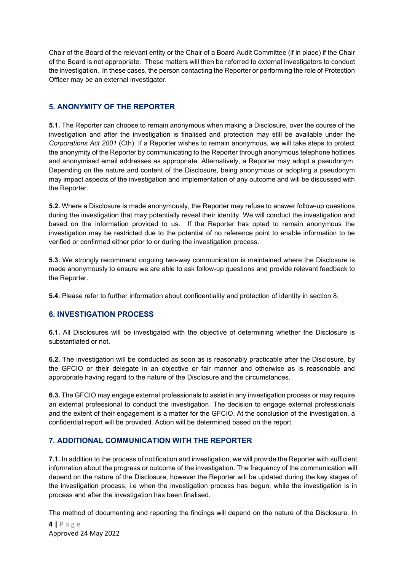Chair of the Board of the relevant entity or the Chair of a Board Audit Committee (if in place) if the Chair of the Board is not appropriate. These matters will then be referred to external investigators to conduct the investigation. In these cases, the person contacting the Reporter or performing the role of Protection Officer may be an external investigator.

# **5. ANONYMITY OF THE REPORTER**

**5.1.** The Reporter can choose to remain anonymous when making a Disclosure, over the course of the investigation and after the investigation is finalised and protection may still be available under the *Corporations Act 2001* (Cth). If a Reporter wishes to remain anonymous, we will take steps to protect the anonymity of the Reporter by communicating to the Reporter through anonymous telephone hotlines and anonymised email addresses as appropriate. Alternatively, a Reporter may adopt a pseudonym. Depending on the nature and content of the Disclosure, being anonymous or adopting a pseudonym may impact aspects of the investigation and implementation of any outcome and will be discussed with the Reporter.

**5.2.** Where a Disclosure is made anonymously, the Reporter may refuse to answer follow-up questions during the investigation that may potentially reveal their identity. We will conduct the investigation and based on the information provided to us. If the Reporter has opted to remain anonymous the investigation may be restricted due to the potential of no reference point to enable information to be verified or confirmed either prior to or during the investigation process.

**5.3.** We strongly recommend ongoing two-way communication is maintained where the Disclosure is made anonymously to ensure we are able to ask follow-up questions and provide relevant feedback to the Reporter.

**5.4.** Please refer to further information about confidentiality and protection of identity in section 8.

# **6. INVESTIGATION PROCESS**

**6.1.** All Disclosures will be investigated with the objective of determining whether the Disclosure is substantiated or not.

**6.2.** The investigation will be conducted as soon as is reasonably practicable after the Disclosure, by the GFCIO or their delegate in an objective or fair manner and otherwise as is reasonable and appropriate having regard to the nature of the Disclosure and the circumstances.

**6.3.** The GFCIO may engage external professionals to assist in any investigation process or may require an external professional to conduct the investigation. The decision to engage external professionals and the extent of their engagement is a matter for the GFCIO. At the conclusion of the investigation, a confidential report will be provided. Action will be determined based on the report.

# **7. ADDITIONAL COMMUNICATION WITH THE REPORTER**

**7.1.** In addition to the process of notification and investigation, we will provide the Reporter with sufficient information about the progress or outcome of the investigation. The frequency of the communication will depend on the nature of the Disclosure, however the Reporter will be updated during the key stages of the investigation process, i.e when the investigation process has begun, while the investigation is in process and after the investigation has been finalised.

The method of documenting and reporting the findings will depend on the nature of the Disclosure. In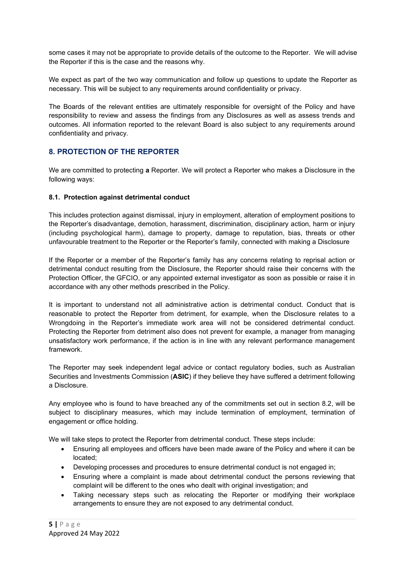some cases it may not be appropriate to provide details of the outcome to the Reporter. We will advise the Reporter if this is the case and the reasons why.

We expect as part of the two way communication and follow up questions to update the Reporter as necessary. This will be subject to any requirements around confidentiality or privacy.

The Boards of the relevant entities are ultimately responsible for oversight of the Policy and have responsibility to review and assess the findings from any Disclosures as well as assess trends and outcomes. All information reported to the relevant Board is also subject to any requirements around confidentiality and privacy.

# **8. PROTECTION OF THE REPORTER**

We are committed to protecting **a** Reporter. We will protect a Reporter who makes a Disclosure in the following ways:

#### **8.1. Protection against detrimental conduct**

This includes protection against dismissal, injury in employment, alteration of employment positions to the Reporter's disadvantage, demotion, harassment, discrimination, disciplinary action, harm or injury (including psychological harm), damage to property, damage to reputation, bias, threats or other unfavourable treatment to the Reporter or the Reporter's family, connected with making a Disclosure

If the Reporter or a member of the Reporter's family has any concerns relating to reprisal action or detrimental conduct resulting from the Disclosure, the Reporter should raise their concerns with the Protection Officer, the GFCIO, or any appointed external investigator as soon as possible or raise it in accordance with any other methods prescribed in the Policy.

It is important to understand not all administrative action is detrimental conduct. Conduct that is reasonable to protect the Reporter from detriment, for example, when the Disclosure relates to a Wrongdoing in the Reporter's immediate work area will not be considered detrimental conduct. Protecting the Reporter from detriment also does not prevent for example, a manager from managing unsatisfactory work performance, if the action is in line with any relevant performance management framework.

The Reporter may seek independent legal advice or contact regulatory bodies, such as Australian Securities and Investments Commission (**ASIC**) if they believe they have suffered a detriment following a Disclosure.

Any employee who is found to have breached any of the commitments set out in section 8.2, will be subject to disciplinary measures, which may include termination of employment, termination of engagement or office holding.

We will take steps to protect the Reporter from detrimental conduct. These steps include:

- Ensuring all employees and officers have been made aware of the Policy and where it can be located;
- Developing processes and procedures to ensure detrimental conduct is not engaged in;
- Ensuring where a complaint is made about detrimental conduct the persons reviewing that complaint will be different to the ones who dealt with original investigation; and
- Taking necessary steps such as relocating the Reporter or modifying their workplace arrangements to ensure they are not exposed to any detrimental conduct.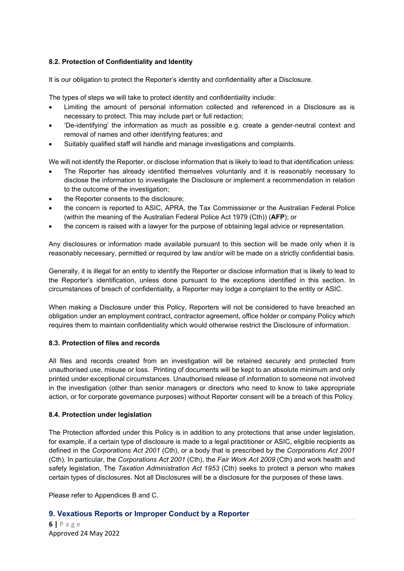## **8.2. Protection of Confidentiality and Identity**

It is our obligation to protect the Reporter's identity and confidentiality after a Disclosure.

The types of steps we will take to protect identity and confidentiality include:

- Limiting the amount of personal information collected and referenced in a Disclosure as is necessary to protect. This may include part or full redaction;
- 'De-identifying' the information as much as possible e.g. create a gender-neutral context and removal of names and other identifying features; and
- Suitably qualified staff will handle and manage investigations and complaints.

We will not identify the Reporter, or disclose information that is likely to lead to that identification unless:

- The Reporter has already identified themselves voluntarily and it is reasonably necessary to disclose the information to investigate the Disclosure or implement a recommendation in relation to the outcome of the investigation;
- the Reporter consents to the disclosure:
- the concern is reported to ASIC, APRA, the Tax Commissioner or the Australian Federal Police (within the meaning of the Australian Federal Police Act 1979 (Cth)) (**AFP**); or
- the concern is raised with a lawyer for the purpose of obtaining legal advice or representation.

Any disclosures or information made available pursuant to this section will be made only when it is reasonably necessary, permitted or required by law and/or will be made on a strictly confidential basis.

Generally, it is illegal for an entity to identify the Reporter or disclose information that is likely to lead to the Reporter's identification, unless done pursuant to the exceptions identified in this section. In circumstances of breach of confidentiality, a Reporter may lodge a complaint to the entity or ASIC.

When making a Disclosure under this Policy, Reporters will not be considered to have breached an obligation under an employment contract, contractor agreement, office holder or company Policy which requires them to maintain confidentiality which would otherwise restrict the Disclosure of information.

#### **8.3. Protection of files and records**

All files and records created from an investigation will be retained securely and protected from unauthorised use, misuse or loss. Printing of documents will be kept to an absolute minimum and only printed under exceptional circumstances. Unauthorised release of information to someone not involved in the investigation (other than senior managers or directors who need to know to take appropriate action, or for corporate governance purposes) without Reporter consent will be a breach of this Policy.

#### **8.4. Protection under legislation**

The Protection afforded under this Policy is in addition to any protections that arise under legislation, for example, if a certain type of disclosure is made to a legal practitioner or ASIC, eligible recipients as defined in the *Corporations Act 2001* (Cth), or a body that is prescribed by the *Corporations Act 2001* (Cth). In particular, the *Corporations Act 2001* (Cth), the *Fair Work Act 2009* (Cth) and work health and safety legislation, The *Taxation Administration Act 1953* (Cth) seeks to protect a person who makes certain types of disclosures. Not all Disclosures will be a disclosure for the purposes of these laws.

Please refer to Appendices B and C.

### **9. Vexatious Reports or Improper Conduct by a Reporter**

**6 |** Page Approved 24 May 2022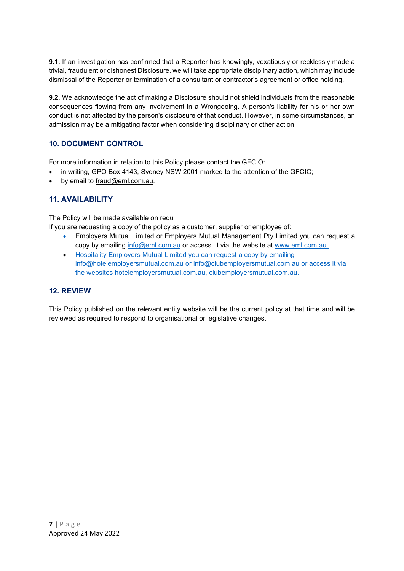**9.1.** If an investigation has confirmed that a Reporter has knowingly, vexatiously or recklessly made a trivial, fraudulent or dishonest Disclosure, we will take appropriate disciplinary action, which may include dismissal of the Reporter or termination of a consultant or contractor's agreement or office holding.

**9.2.** We acknowledge the act of making a Disclosure should not shield individuals from the reasonable consequences flowing from any involvement in a Wrongdoing. A person's liability for his or her own conduct is not affected by the person's disclosure of that conduct. However, in some circumstances, an admission may be a mitigating factor when considering disciplinary or other action.

# **10. DOCUMENT CONTROL**

For more information in relation to this Policy please contact the GFCIO:

- in writing, GPO Box 4143, Sydney NSW 2001 marked to the attention of the GFCIO;
- by email to [fraud@eml.com.au.](mailto:fraud@eml.com.au)

## **11. AVAILABILITY**

The Policy will be made available on requ

If you are requesting a copy of the policy as a customer, supplier or employee of:

- Employers Mutual Limited or Employers Mutual Management Pty Limited you can request a copy by emailing [info@eml.com.au](mailto:info@eml.com.au) or access it via the website at [www.eml.com.au.](http://www.eml.com.au/)
- Hospitality Employers Mutual Limited you can request a copy by emailing [info@hotelemployersmutual.com.au](mailto:info@hotelemployersmutual.com.au) or [info@clubemployersmutual.com.au](mailto:info@clubemployersmutual.com.au) or access it via the websites hotelemployersmutual.com.au, clubemployersmutual.com.au.

### **12. REVIEW**

This Policy published on the relevant entity website will be the current policy at that time and will be reviewed as required to respond to organisational or legislative changes.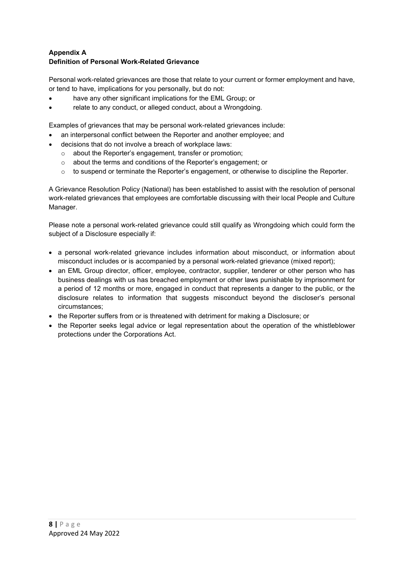## **Appendix A Definition of Personal Work-Related Grievance**

Personal work-related grievances are those that relate to your current or former employment and have, or tend to have, implications for you personally, but do not:

- have any other significant implications for the EML Group; or
- relate to any conduct, or alleged conduct, about a Wrongdoing.

Examples of grievances that may be personal work-related grievances include:

- an interpersonal conflict between the Reporter and another employee; and
- decisions that do not involve a breach of workplace laws:
	- o about the Reporter's engagement*,* transfer or promotion;
	- o about the terms and conditions of the Reporter's engagement; or
	- o to suspend or terminate the Reporter's engagement, or otherwise to discipline the Reporter.

A Grievance Resolution Policy (National) has been established to assist with the resolution of personal work-related grievances that employees are comfortable discussing with their local People and Culture Manager.

Please note a personal work-related grievance could still qualify as Wrongdoing which could form the subject of a Disclosure especially if:

- a personal work-related grievance includes information about misconduct, or information about misconduct includes or is accompanied by a personal work-related grievance (mixed report);
- an EML Group director, officer, employee, contractor, supplier, tenderer or other person who has business dealings with us has breached employment or other laws punishable by imprisonment for a period of 12 months or more, engaged in conduct that represents a danger to the public, or the disclosure relates to information that suggests misconduct beyond the discloser's personal circumstances;
- the Reporter suffers from or is threatened with detriment for making a Disclosure; or
- the Reporter seeks legal advice or legal representation about the operation of the whistleblower protections under the Corporations Act.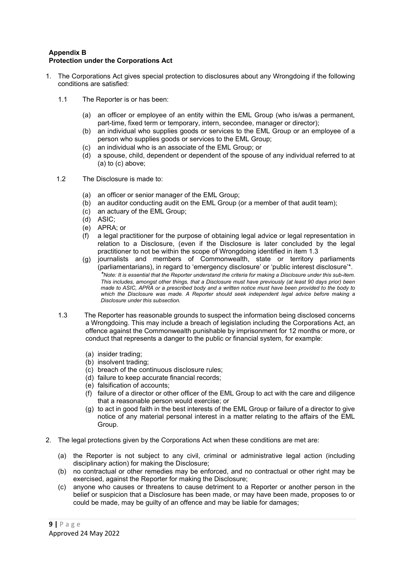#### **Appendix B Protection under the Corporations Act**

- 1. The Corporations Act gives special protection to disclosures about any Wrongdoing if the following conditions are satisfied:
	- 1.1 The Reporter is or has been:
		- (a) an officer or employee of an entity within the EML Group (who is/was a permanent, part-time, fixed term or temporary, intern, secondee, manager or director);
		- (b) an individual who supplies goods or services to the EML Group or an employee of a person who supplies goods or services to the EML Group;
		- (c) an individual who is an associate of the EML Group; or
		- (d) a spouse, child, dependent or dependent of the spouse of any individual referred to at (a) to (c) above;
	- 1.2 The Disclosure is made to:
		- (a) an officer or senior manager of the EML Group;
		- (b) an auditor conducting audit on the EML Group (or a member of that audit team);
		- (c) an actuary of the EML Group;
		- (d) ASIC;
		- (e) APRA; or
		- (f) a legal practitioner for the purpose of obtaining legal advice or legal representation in relation to a Disclosure, (even if the Disclosure is later concluded by the legal practitioner to not be within the scope of Wrongdoing identified in item 1.3
		- (g) journalists and members of Commonwealth, state or territory parliaments (parliamentarians), in regard to 'emergency disclosure' or 'public interest disclosure'\*. *\*Note: It is essential that the Reporter understand the criteria for making a Disclosure under this sub-item. This includes, amongst other things, that a Disclosure must have previously (at least 90 days prior) been made to ASIC, APRA or a prescribed body and a written notice must have been provided to the body to which the Disclosure was made. A Reporter should seek independent legal advice before making a Disclosure under this subsection.*
	- 1.3 The Reporter has reasonable grounds to suspect the information being disclosed concerns a Wrongdoing. This may include a breach of legislation including the Corporations Act, an offence against the Commonwealth punishable by imprisonment for 12 months or more, or conduct that represents a danger to the public or financial system, for example:
		- (a) insider trading;
		- (b) insolvent trading;
		- (c) breach of the continuous disclosure rules;
		- (d) failure to keep accurate financial records;
		- (e) falsification of accounts;
		- (f) failure of a director or other officer of the EML Group to act with the care and diligence that a reasonable person would exercise; or
		- (g) to act in good faith in the best interests of the EML Group or failure of a director to give notice of any material personal interest in a matter relating to the affairs of the EML Group.
- 2. The legal protections given by the Corporations Act when these conditions are met are:
	- (a) the Reporter is not subject to any civil, criminal or administrative legal action (including disciplinary action) for making the Disclosure;
	- (b) no contractual or other remedies may be enforced, and no contractual or other right may be exercised, against the Reporter for making the Disclosure;
	- (c) anyone who causes or threatens to cause detriment to a Reporter or another person in the belief or suspicion that a Disclosure has been made, or may have been made, proposes to or could be made, may be guilty of an offence and may be liable for damages;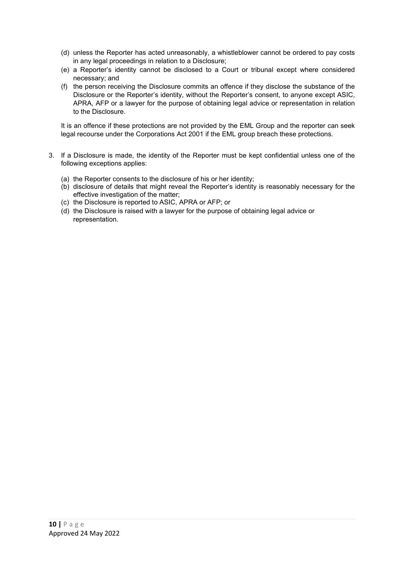- (d) unless the Reporter has acted unreasonably, a whistleblower cannot be ordered to pay costs in any legal proceedings in relation to a Disclosure;
- (e) a Reporter's identity cannot be disclosed to a Court or tribunal except where considered necessary; and
- (f) the person receiving the Disclosure commits an offence if they disclose the substance of the Disclosure or the Reporter's identity, without the Reporter's consent, to anyone except ASIC, APRA, AFP or a lawyer for the purpose of obtaining legal advice or representation in relation to the Disclosure.

It is an offence if these protections are not provided by the EML Group and the reporter can seek legal recourse under the Corporations Act 2001 if the EML group breach these protections.

- 3. If a Disclosure is made, the identity of the Reporter must be kept confidential unless one of the following exceptions applies:
	- (a) the Reporter consents to the disclosure of his or her identity;
	- (b) disclosure of details that might reveal the Reporter's identity is reasonably necessary for the effective investigation of the matter;
	- (c) the Disclosure is reported to ASIC, APRA or AFP; or
	- (d) the Disclosure is raised with a lawyer for the purpose of obtaining legal advice or representation.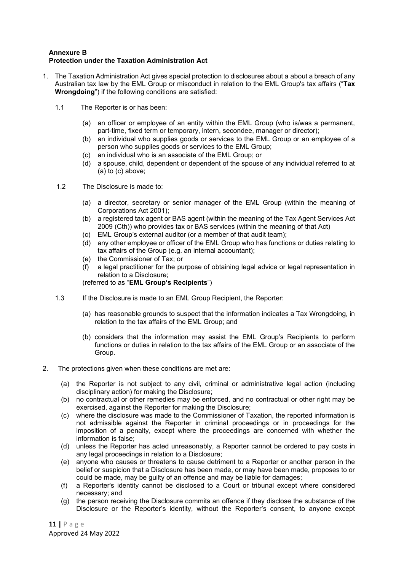#### **Annexure B Protection under the Taxation Administration Act**

- 1. The Taxation Administration Act gives special protection to disclosures about a about a breach of any Australian tax law by the EML Group or misconduct in relation to the EML Group's tax affairs ("**Tax Wrongdoing**") if the following conditions are satisfied:
	- 1.1 The Reporter is or has been:
		- (a) an officer or employee of an entity within the EML Group (who is/was a permanent, part-time, fixed term or temporary, intern, secondee, manager or director);
		- (b) an individual who supplies goods or services to the EML Group or an employee of a person who supplies goods or services to the EML Group;
		- (c) an individual who is an associate of the EML Group; or
		- (d) a spouse, child, dependent or dependent of the spouse of any individual referred to at  $(a)$  to  $(c)$  above;
	- 1.2 The Disclosure is made to:
		- (a) a director, secretary or senior manager of the EML Group (within the meaning of Corporations Act 2001);
		- (b) a registered tax agent or BAS agent (within the meaning of the Tax Agent Services Act 2009 (Cth)) who provides tax or BAS services (within the meaning of that Act)
		- (c) EML Group's external auditor (or a member of that audit team);
		- (d) any other employee or officer of the EML Group who has functions or duties relating to tax affairs of the Group (e.g. an internal accountant);
		- (e) the Commissioner of Tax; or
		- (f) a legal practitioner for the purpose of obtaining legal advice or legal representation in relation to a Disclosure;

(referred to as "**EML Group's Recipients**")

- 1.3 If the Disclosure is made to an EML Group Recipient, the Reporter:
	- (a) has reasonable grounds to suspect that the information indicates a Tax Wrongdoing, in relation to the tax affairs of the EML Group; and
	- (b) considers that the information may assist the EML Group's Recipients to perform functions or duties in relation to the tax affairs of the EML Group or an associate of the Group.
- 2. The protections given when these conditions are met are:
	- (a) the Reporter is not subject to any civil, criminal or administrative legal action (including disciplinary action) for making the Disclosure;
	- (b) no contractual or other remedies may be enforced, and no contractual or other right may be exercised, against the Reporter for making the Disclosure;
	- (c) where the disclosure was made to the Commissioner of Taxation, the reported information is not admissible against the Reporter in criminal proceedings or in proceedings for the imposition of a penalty, except where the proceedings are concerned with whether the information is false;
	- (d) unless the Reporter has acted unreasonably, a Reporter cannot be ordered to pay costs in any legal proceedings in relation to a Disclosure;
	- (e) anyone who causes or threatens to cause detriment to a Reporter or another person in the belief or suspicion that a Disclosure has been made, or may have been made, proposes to or could be made, may be guilty of an offence and may be liable for damages;
	- (f) a Reporter's identity cannot be disclosed to a Court or tribunal except where considered necessary; and
	- (g) the person receiving the Disclosure commits an offence if they disclose the substance of the Disclosure or the Reporter's identity, without the Reporter's consent, to anyone except